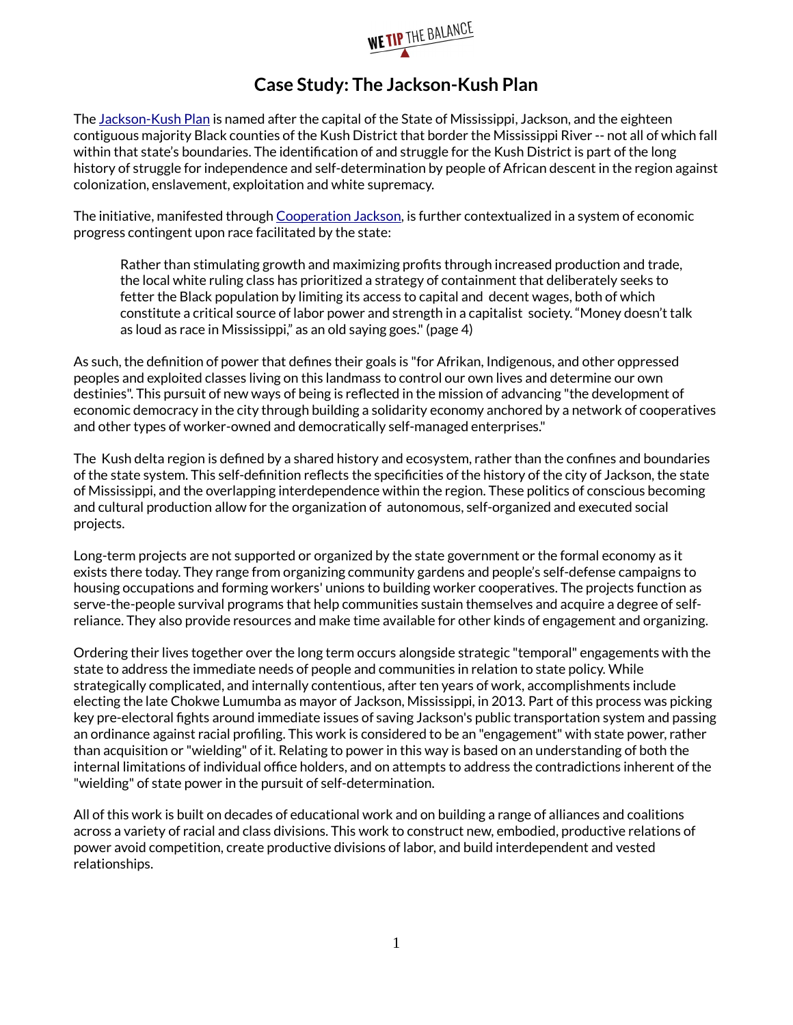

## **Case Study: The Jackson-Kush Plan**

The [Jackson-Kush Plan](https://www.scribd.com/doc/218031046/The-Jackson-Kush-Plan) is named after the capital of the State of Mississippi, Jackson, and the eighteen contiguous majority Black counties of the Kush District that border the Mississippi River -- not all of which fall within that state's boundaries. The identification of and struggle for the Kush District is part of the long history of struggle for independence and self-determination by people of African descent in the region against colonization, enslavement, exploitation and white supremacy.

The initiative, manifested through [Cooperation Jackson,](https://cooperationjackson.org/) is further contextualized in a system of economic progress contingent upon race facilitated by the state:

Rather than stimulating growth and maximizing profits through increased production and trade, the local white ruling class has prioritized a strategy of containment that deliberately seeks to fetter the Black population by limiting its access to capital and decent wages, both of which constitute a critical source of labor power and strength in a capitalist society. "Money doesn't talk as loud as race in Mississippi," as an old saying goes." (page 4)

As such, the definition of power that defines their goals is "for Afrikan, Indigenous, and other oppressed peoples and exploited classes living on this landmass to control our own lives and determine our own destinies". This pursuit of new ways of being is reflected in the mission of advancing "the development of economic democracy in the city through building a solidarity economy anchored by a network of cooperatives and other types of worker-owned and democratically self-managed enterprises."

The Kush delta region is defined by a shared history and ecosystem, rather than the confines and boundaries of the state system. This self-definition reflects the specificities of the history of the city of Jackson, the state of Mississippi, and the overlapping interdependence within the region. These politics of conscious becoming and cultural production allow for the organization of autonomous, self-organized and executed social projects.

Long-term projects are not supported or organized by the state government or the formal economy as it exists there today. They range from organizing community gardens and people's self-defense campaigns to housing occupations and forming workers' unions to building worker cooperatives. The projects function as serve-the-people survival programs that help communities sustain themselves and acquire a degree of selfreliance. They also provide resources and make time available for other kinds of engagement and organizing.

Ordering their lives together over the long term occurs alongside strategic "temporal" engagements with the state to address the immediate needs of people and communities in relation to state policy. While strategically complicated, and internally contentious, after ten years of work, accomplishments include electing the late Chokwe Lumumba as mayor of Jackson, Mississippi, in 2013. Part of this process was picking key pre-electoral fights around immediate issues of saving Jackson's public transportation system and passing an ordinance against racial profiling. This work is considered to be an "engagement" with state power, rather than acquisition or "wielding" of it. Relating to power in this way is based on an understanding of both the internal limitations of individual office holders, and on attempts to address the contradictions inherent of the "wielding" of state power in the pursuit of self-determination.

All of this work is built on decades of educational work and on building a range of alliances and coalitions across a variety of racial and class divisions. This work to construct new, embodied, productive relations of power avoid competition, create productive divisions of labor, and build interdependent and vested relationships.